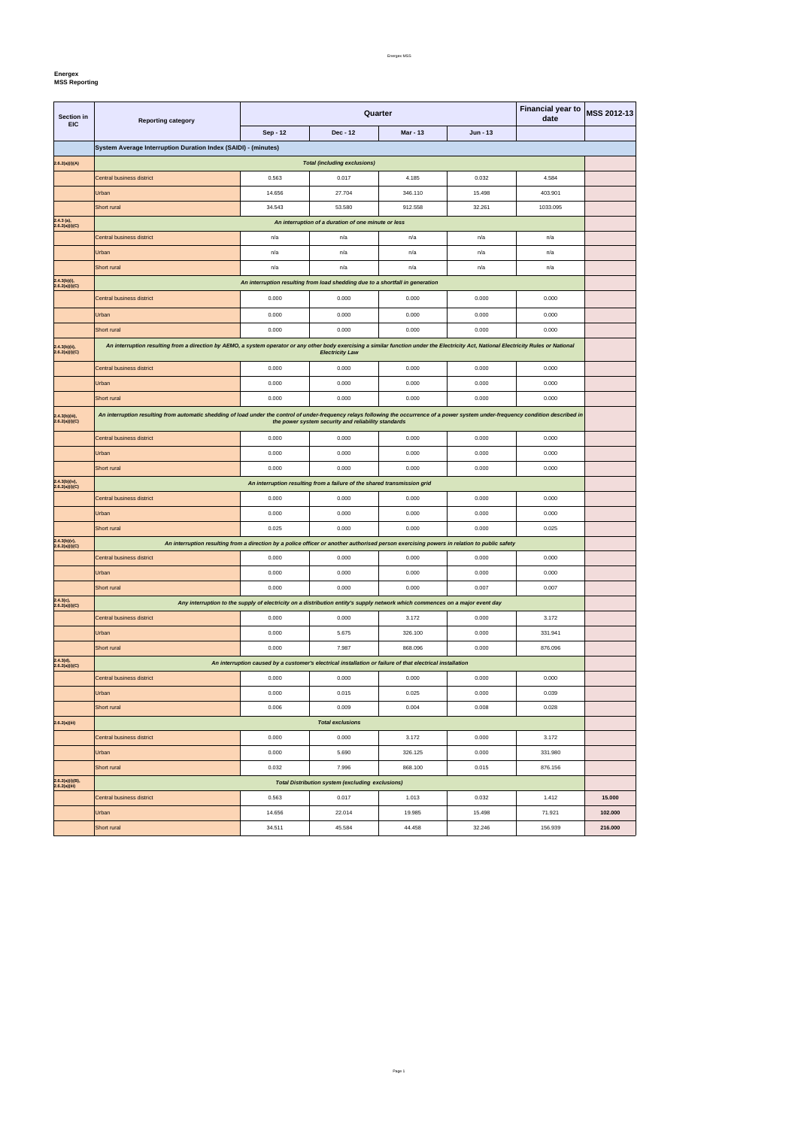## Energex MSS

### **Energex**

**MSS Reporting** 

| Dec - 12<br><b>Mar - 13</b><br>Sep - 12<br>$Jun - 13$<br>System Average Interruption Duration Index (SAIDI) - (minutes)<br>2.6.2(a)(i)(A)<br><b>Total (including exclusions)</b><br>Central business district<br>0.563<br>0.017<br>4.185<br>0.032<br>4.584<br>Urban<br>14.656<br>27.704<br>346.110<br>15.498<br>403.901<br><b>Short rural</b><br>34.543<br>53.580<br>912.558<br>32.261<br>1033.095<br>$2.4.3$ (a),<br>2.6.2(a)(i)(C)<br>An interruption of a duration of one minute or less<br>Central business district<br>n/a<br>n/a<br>n/a<br>n/a<br>n/a<br>Urban<br>n/a<br>n/a<br>n/a<br>n/a<br>n/a<br>Short rural<br>n/a<br>n/a<br>n/a<br>n/a<br>n/a<br>$2.4.3(b)(i)$ ,<br>An interruption resulting from load shedding due to a shortfall in generation<br>2.6.2(a)(i)(C)<br>0.000<br>Central business district<br>0.000<br>0.000<br>0.000<br>0.000<br>0.000<br>0.000<br>0.000<br>0.000<br>0.000<br>Urban<br>Short rural<br>0.000<br>0.000<br>0.000<br>0.000<br>0.000<br>An interruption resulting from a direction by AEMO, a system operator or any other body exercising a similar function under the Electricity Act, National Electricity Rules or National<br>2.4.3(b)(ii),<br>2.6.2(a)(i)(C)<br><b>Electricity Law</b><br>0.000<br>Central business district<br>0.000<br>0.000<br>0.000<br>0.000<br>Urban<br>0.000<br>0.000<br>0.000<br>0.000<br>0.000<br>Short rural<br>0.000<br>0.000<br>0.000<br>0.000<br>0.000<br>An interruption resulting from automatic shedding of load under the control of under-frequency relays following the occurrence of a power system under-frequency condition described in<br>2.4.3(b)(iii),<br>2.6.2(a)(i)(C)<br>the power system security and reliability standards<br>0.000<br>0.000<br>0.000<br>0.000<br>0.000<br>Central business district<br>Urban<br>0.000<br>0.000<br>0.000<br>0.000<br>0.000<br>Short rural<br>0.000<br>0.000<br>0.000<br>0.000<br>0.000<br>2.4.3(b)(iv),<br>An interruption resulting from a failure of the shared transmission grid<br>2.6.2(a)(i)(C)<br><b>Central business district</b><br>0.000<br>0.000<br>0.000<br>0.000<br>0.000<br>0.000<br>0.000<br>0.000<br>0.000<br>0.000<br>Urban<br>Short rural<br>0.000<br>0.025<br>0.000<br>0.000<br>0.025<br>2.4.3(b)(v),<br>2.6.2(a)(i)(C)<br>An interruption resulting from a direction by a police officer or another authorised person exercising powers in relation to public safety<br>0.000<br>0.000<br>0.000<br>0.000<br>0.000<br>Central business district<br>Urban<br>0.000<br>0.000<br>0.000<br>0.000<br>0.000<br>Short rural<br>0.000<br>0.000<br>0.000<br>0.007<br>0.007<br>2.4.3(c),<br>Any interruption to the supply of electricity on a distribution entity's supply network which commences on a major event day<br>2.6.2(a)(i)(C)<br>0.000<br><b>Central business district</b><br>0.000<br>3.172<br>0.000<br>3.172<br>Urban<br>0.000<br>5.675<br>0.000<br>331.941<br>326.100<br>Short rural<br>0.000<br>7.987<br>876.096<br>868.096<br>0.000<br>2.4.3(d),<br>2.6.2(a)(i)(C)<br>An interruption caused by a customer's electrical installation or failure of that electrical installation<br>0.000<br>0.000<br>0.000<br>Central business district<br>0.000<br>0.000<br>Urban<br>0.000<br>0.015<br>0.025<br>0.000<br>0.039 | Section in | <b>Reporting category</b> | <b>Financial year to</b><br>Quarter<br>date |       |       | MSS 2012-13 |       |  |
|-----------------------------------------------------------------------------------------------------------------------------------------------------------------------------------------------------------------------------------------------------------------------------------------------------------------------------------------------------------------------------------------------------------------------------------------------------------------------------------------------------------------------------------------------------------------------------------------------------------------------------------------------------------------------------------------------------------------------------------------------------------------------------------------------------------------------------------------------------------------------------------------------------------------------------------------------------------------------------------------------------------------------------------------------------------------------------------------------------------------------------------------------------------------------------------------------------------------------------------------------------------------------------------------------------------------------------------------------------------------------------------------------------------------------------------------------------------------------------------------------------------------------------------------------------------------------------------------------------------------------------------------------------------------------------------------------------------------------------------------------------------------------------------------------------------------------------------------------------------------------------------------------------------------------------------------------------------------------------------------------------------------------------------------------------------------------------------------------------------------------------------------------------------------------------------------------------------------------------------------------------------------------------------------------------------------------------------------------------------------------------------------------------------------------------------------------------------------------------------------------------------------------------------------------------------------------------------------------------------------------------------------------------------------------------------------------------------------------------------------------------------------------------------------------------------------------------------------------------------------------------------------------------------------------------------------------------------------------------------------------------------------------------------------------------------------------------------------------------------------------------------------------------------------------------------------------------------------------------------------------------------------------|------------|---------------------------|---------------------------------------------|-------|-------|-------------|-------|--|
|                                                                                                                                                                                                                                                                                                                                                                                                                                                                                                                                                                                                                                                                                                                                                                                                                                                                                                                                                                                                                                                                                                                                                                                                                                                                                                                                                                                                                                                                                                                                                                                                                                                                                                                                                                                                                                                                                                                                                                                                                                                                                                                                                                                                                                                                                                                                                                                                                                                                                                                                                                                                                                                                                                                                                                                                                                                                                                                                                                                                                                                                                                                                                                                                                                                                       | <b>EIC</b> |                           |                                             |       |       |             |       |  |
|                                                                                                                                                                                                                                                                                                                                                                                                                                                                                                                                                                                                                                                                                                                                                                                                                                                                                                                                                                                                                                                                                                                                                                                                                                                                                                                                                                                                                                                                                                                                                                                                                                                                                                                                                                                                                                                                                                                                                                                                                                                                                                                                                                                                                                                                                                                                                                                                                                                                                                                                                                                                                                                                                                                                                                                                                                                                                                                                                                                                                                                                                                                                                                                                                                                                       |            |                           |                                             |       |       |             |       |  |
|                                                                                                                                                                                                                                                                                                                                                                                                                                                                                                                                                                                                                                                                                                                                                                                                                                                                                                                                                                                                                                                                                                                                                                                                                                                                                                                                                                                                                                                                                                                                                                                                                                                                                                                                                                                                                                                                                                                                                                                                                                                                                                                                                                                                                                                                                                                                                                                                                                                                                                                                                                                                                                                                                                                                                                                                                                                                                                                                                                                                                                                                                                                                                                                                                                                                       |            |                           |                                             |       |       |             |       |  |
|                                                                                                                                                                                                                                                                                                                                                                                                                                                                                                                                                                                                                                                                                                                                                                                                                                                                                                                                                                                                                                                                                                                                                                                                                                                                                                                                                                                                                                                                                                                                                                                                                                                                                                                                                                                                                                                                                                                                                                                                                                                                                                                                                                                                                                                                                                                                                                                                                                                                                                                                                                                                                                                                                                                                                                                                                                                                                                                                                                                                                                                                                                                                                                                                                                                                       |            |                           |                                             |       |       |             |       |  |
|                                                                                                                                                                                                                                                                                                                                                                                                                                                                                                                                                                                                                                                                                                                                                                                                                                                                                                                                                                                                                                                                                                                                                                                                                                                                                                                                                                                                                                                                                                                                                                                                                                                                                                                                                                                                                                                                                                                                                                                                                                                                                                                                                                                                                                                                                                                                                                                                                                                                                                                                                                                                                                                                                                                                                                                                                                                                                                                                                                                                                                                                                                                                                                                                                                                                       |            |                           |                                             |       |       |             |       |  |
|                                                                                                                                                                                                                                                                                                                                                                                                                                                                                                                                                                                                                                                                                                                                                                                                                                                                                                                                                                                                                                                                                                                                                                                                                                                                                                                                                                                                                                                                                                                                                                                                                                                                                                                                                                                                                                                                                                                                                                                                                                                                                                                                                                                                                                                                                                                                                                                                                                                                                                                                                                                                                                                                                                                                                                                                                                                                                                                                                                                                                                                                                                                                                                                                                                                                       |            |                           |                                             |       |       |             |       |  |
|                                                                                                                                                                                                                                                                                                                                                                                                                                                                                                                                                                                                                                                                                                                                                                                                                                                                                                                                                                                                                                                                                                                                                                                                                                                                                                                                                                                                                                                                                                                                                                                                                                                                                                                                                                                                                                                                                                                                                                                                                                                                                                                                                                                                                                                                                                                                                                                                                                                                                                                                                                                                                                                                                                                                                                                                                                                                                                                                                                                                                                                                                                                                                                                                                                                                       |            |                           |                                             |       |       |             |       |  |
|                                                                                                                                                                                                                                                                                                                                                                                                                                                                                                                                                                                                                                                                                                                                                                                                                                                                                                                                                                                                                                                                                                                                                                                                                                                                                                                                                                                                                                                                                                                                                                                                                                                                                                                                                                                                                                                                                                                                                                                                                                                                                                                                                                                                                                                                                                                                                                                                                                                                                                                                                                                                                                                                                                                                                                                                                                                                                                                                                                                                                                                                                                                                                                                                                                                                       |            |                           |                                             |       |       |             |       |  |
|                                                                                                                                                                                                                                                                                                                                                                                                                                                                                                                                                                                                                                                                                                                                                                                                                                                                                                                                                                                                                                                                                                                                                                                                                                                                                                                                                                                                                                                                                                                                                                                                                                                                                                                                                                                                                                                                                                                                                                                                                                                                                                                                                                                                                                                                                                                                                                                                                                                                                                                                                                                                                                                                                                                                                                                                                                                                                                                                                                                                                                                                                                                                                                                                                                                                       |            |                           |                                             |       |       |             |       |  |
|                                                                                                                                                                                                                                                                                                                                                                                                                                                                                                                                                                                                                                                                                                                                                                                                                                                                                                                                                                                                                                                                                                                                                                                                                                                                                                                                                                                                                                                                                                                                                                                                                                                                                                                                                                                                                                                                                                                                                                                                                                                                                                                                                                                                                                                                                                                                                                                                                                                                                                                                                                                                                                                                                                                                                                                                                                                                                                                                                                                                                                                                                                                                                                                                                                                                       |            |                           |                                             |       |       |             |       |  |
|                                                                                                                                                                                                                                                                                                                                                                                                                                                                                                                                                                                                                                                                                                                                                                                                                                                                                                                                                                                                                                                                                                                                                                                                                                                                                                                                                                                                                                                                                                                                                                                                                                                                                                                                                                                                                                                                                                                                                                                                                                                                                                                                                                                                                                                                                                                                                                                                                                                                                                                                                                                                                                                                                                                                                                                                                                                                                                                                                                                                                                                                                                                                                                                                                                                                       |            |                           |                                             |       |       |             |       |  |
|                                                                                                                                                                                                                                                                                                                                                                                                                                                                                                                                                                                                                                                                                                                                                                                                                                                                                                                                                                                                                                                                                                                                                                                                                                                                                                                                                                                                                                                                                                                                                                                                                                                                                                                                                                                                                                                                                                                                                                                                                                                                                                                                                                                                                                                                                                                                                                                                                                                                                                                                                                                                                                                                                                                                                                                                                                                                                                                                                                                                                                                                                                                                                                                                                                                                       |            |                           |                                             |       |       |             |       |  |
|                                                                                                                                                                                                                                                                                                                                                                                                                                                                                                                                                                                                                                                                                                                                                                                                                                                                                                                                                                                                                                                                                                                                                                                                                                                                                                                                                                                                                                                                                                                                                                                                                                                                                                                                                                                                                                                                                                                                                                                                                                                                                                                                                                                                                                                                                                                                                                                                                                                                                                                                                                                                                                                                                                                                                                                                                                                                                                                                                                                                                                                                                                                                                                                                                                                                       |            |                           |                                             |       |       |             |       |  |
|                                                                                                                                                                                                                                                                                                                                                                                                                                                                                                                                                                                                                                                                                                                                                                                                                                                                                                                                                                                                                                                                                                                                                                                                                                                                                                                                                                                                                                                                                                                                                                                                                                                                                                                                                                                                                                                                                                                                                                                                                                                                                                                                                                                                                                                                                                                                                                                                                                                                                                                                                                                                                                                                                                                                                                                                                                                                                                                                                                                                                                                                                                                                                                                                                                                                       |            |                           |                                             |       |       |             |       |  |
|                                                                                                                                                                                                                                                                                                                                                                                                                                                                                                                                                                                                                                                                                                                                                                                                                                                                                                                                                                                                                                                                                                                                                                                                                                                                                                                                                                                                                                                                                                                                                                                                                                                                                                                                                                                                                                                                                                                                                                                                                                                                                                                                                                                                                                                                                                                                                                                                                                                                                                                                                                                                                                                                                                                                                                                                                                                                                                                                                                                                                                                                                                                                                                                                                                                                       |            |                           |                                             |       |       |             |       |  |
|                                                                                                                                                                                                                                                                                                                                                                                                                                                                                                                                                                                                                                                                                                                                                                                                                                                                                                                                                                                                                                                                                                                                                                                                                                                                                                                                                                                                                                                                                                                                                                                                                                                                                                                                                                                                                                                                                                                                                                                                                                                                                                                                                                                                                                                                                                                                                                                                                                                                                                                                                                                                                                                                                                                                                                                                                                                                                                                                                                                                                                                                                                                                                                                                                                                                       |            |                           |                                             |       |       |             |       |  |
|                                                                                                                                                                                                                                                                                                                                                                                                                                                                                                                                                                                                                                                                                                                                                                                                                                                                                                                                                                                                                                                                                                                                                                                                                                                                                                                                                                                                                                                                                                                                                                                                                                                                                                                                                                                                                                                                                                                                                                                                                                                                                                                                                                                                                                                                                                                                                                                                                                                                                                                                                                                                                                                                                                                                                                                                                                                                                                                                                                                                                                                                                                                                                                                                                                                                       |            |                           |                                             |       |       |             |       |  |
|                                                                                                                                                                                                                                                                                                                                                                                                                                                                                                                                                                                                                                                                                                                                                                                                                                                                                                                                                                                                                                                                                                                                                                                                                                                                                                                                                                                                                                                                                                                                                                                                                                                                                                                                                                                                                                                                                                                                                                                                                                                                                                                                                                                                                                                                                                                                                                                                                                                                                                                                                                                                                                                                                                                                                                                                                                                                                                                                                                                                                                                                                                                                                                                                                                                                       |            |                           |                                             |       |       |             |       |  |
|                                                                                                                                                                                                                                                                                                                                                                                                                                                                                                                                                                                                                                                                                                                                                                                                                                                                                                                                                                                                                                                                                                                                                                                                                                                                                                                                                                                                                                                                                                                                                                                                                                                                                                                                                                                                                                                                                                                                                                                                                                                                                                                                                                                                                                                                                                                                                                                                                                                                                                                                                                                                                                                                                                                                                                                                                                                                                                                                                                                                                                                                                                                                                                                                                                                                       |            |                           |                                             |       |       |             |       |  |
|                                                                                                                                                                                                                                                                                                                                                                                                                                                                                                                                                                                                                                                                                                                                                                                                                                                                                                                                                                                                                                                                                                                                                                                                                                                                                                                                                                                                                                                                                                                                                                                                                                                                                                                                                                                                                                                                                                                                                                                                                                                                                                                                                                                                                                                                                                                                                                                                                                                                                                                                                                                                                                                                                                                                                                                                                                                                                                                                                                                                                                                                                                                                                                                                                                                                       |            |                           |                                             |       |       |             |       |  |
|                                                                                                                                                                                                                                                                                                                                                                                                                                                                                                                                                                                                                                                                                                                                                                                                                                                                                                                                                                                                                                                                                                                                                                                                                                                                                                                                                                                                                                                                                                                                                                                                                                                                                                                                                                                                                                                                                                                                                                                                                                                                                                                                                                                                                                                                                                                                                                                                                                                                                                                                                                                                                                                                                                                                                                                                                                                                                                                                                                                                                                                                                                                                                                                                                                                                       |            |                           |                                             |       |       |             |       |  |
|                                                                                                                                                                                                                                                                                                                                                                                                                                                                                                                                                                                                                                                                                                                                                                                                                                                                                                                                                                                                                                                                                                                                                                                                                                                                                                                                                                                                                                                                                                                                                                                                                                                                                                                                                                                                                                                                                                                                                                                                                                                                                                                                                                                                                                                                                                                                                                                                                                                                                                                                                                                                                                                                                                                                                                                                                                                                                                                                                                                                                                                                                                                                                                                                                                                                       |            |                           |                                             |       |       |             |       |  |
|                                                                                                                                                                                                                                                                                                                                                                                                                                                                                                                                                                                                                                                                                                                                                                                                                                                                                                                                                                                                                                                                                                                                                                                                                                                                                                                                                                                                                                                                                                                                                                                                                                                                                                                                                                                                                                                                                                                                                                                                                                                                                                                                                                                                                                                                                                                                                                                                                                                                                                                                                                                                                                                                                                                                                                                                                                                                                                                                                                                                                                                                                                                                                                                                                                                                       |            |                           |                                             |       |       |             |       |  |
|                                                                                                                                                                                                                                                                                                                                                                                                                                                                                                                                                                                                                                                                                                                                                                                                                                                                                                                                                                                                                                                                                                                                                                                                                                                                                                                                                                                                                                                                                                                                                                                                                                                                                                                                                                                                                                                                                                                                                                                                                                                                                                                                                                                                                                                                                                                                                                                                                                                                                                                                                                                                                                                                                                                                                                                                                                                                                                                                                                                                                                                                                                                                                                                                                                                                       |            |                           |                                             |       |       |             |       |  |
|                                                                                                                                                                                                                                                                                                                                                                                                                                                                                                                                                                                                                                                                                                                                                                                                                                                                                                                                                                                                                                                                                                                                                                                                                                                                                                                                                                                                                                                                                                                                                                                                                                                                                                                                                                                                                                                                                                                                                                                                                                                                                                                                                                                                                                                                                                                                                                                                                                                                                                                                                                                                                                                                                                                                                                                                                                                                                                                                                                                                                                                                                                                                                                                                                                                                       |            |                           |                                             |       |       |             |       |  |
|                                                                                                                                                                                                                                                                                                                                                                                                                                                                                                                                                                                                                                                                                                                                                                                                                                                                                                                                                                                                                                                                                                                                                                                                                                                                                                                                                                                                                                                                                                                                                                                                                                                                                                                                                                                                                                                                                                                                                                                                                                                                                                                                                                                                                                                                                                                                                                                                                                                                                                                                                                                                                                                                                                                                                                                                                                                                                                                                                                                                                                                                                                                                                                                                                                                                       |            |                           |                                             |       |       |             |       |  |
|                                                                                                                                                                                                                                                                                                                                                                                                                                                                                                                                                                                                                                                                                                                                                                                                                                                                                                                                                                                                                                                                                                                                                                                                                                                                                                                                                                                                                                                                                                                                                                                                                                                                                                                                                                                                                                                                                                                                                                                                                                                                                                                                                                                                                                                                                                                                                                                                                                                                                                                                                                                                                                                                                                                                                                                                                                                                                                                                                                                                                                                                                                                                                                                                                                                                       |            |                           |                                             |       |       |             |       |  |
|                                                                                                                                                                                                                                                                                                                                                                                                                                                                                                                                                                                                                                                                                                                                                                                                                                                                                                                                                                                                                                                                                                                                                                                                                                                                                                                                                                                                                                                                                                                                                                                                                                                                                                                                                                                                                                                                                                                                                                                                                                                                                                                                                                                                                                                                                                                                                                                                                                                                                                                                                                                                                                                                                                                                                                                                                                                                                                                                                                                                                                                                                                                                                                                                                                                                       |            |                           |                                             |       |       |             |       |  |
|                                                                                                                                                                                                                                                                                                                                                                                                                                                                                                                                                                                                                                                                                                                                                                                                                                                                                                                                                                                                                                                                                                                                                                                                                                                                                                                                                                                                                                                                                                                                                                                                                                                                                                                                                                                                                                                                                                                                                                                                                                                                                                                                                                                                                                                                                                                                                                                                                                                                                                                                                                                                                                                                                                                                                                                                                                                                                                                                                                                                                                                                                                                                                                                                                                                                       |            |                           |                                             |       |       |             |       |  |
|                                                                                                                                                                                                                                                                                                                                                                                                                                                                                                                                                                                                                                                                                                                                                                                                                                                                                                                                                                                                                                                                                                                                                                                                                                                                                                                                                                                                                                                                                                                                                                                                                                                                                                                                                                                                                                                                                                                                                                                                                                                                                                                                                                                                                                                                                                                                                                                                                                                                                                                                                                                                                                                                                                                                                                                                                                                                                                                                                                                                                                                                                                                                                                                                                                                                       |            |                           |                                             |       |       |             |       |  |
|                                                                                                                                                                                                                                                                                                                                                                                                                                                                                                                                                                                                                                                                                                                                                                                                                                                                                                                                                                                                                                                                                                                                                                                                                                                                                                                                                                                                                                                                                                                                                                                                                                                                                                                                                                                                                                                                                                                                                                                                                                                                                                                                                                                                                                                                                                                                                                                                                                                                                                                                                                                                                                                                                                                                                                                                                                                                                                                                                                                                                                                                                                                                                                                                                                                                       |            |                           |                                             |       |       |             |       |  |
|                                                                                                                                                                                                                                                                                                                                                                                                                                                                                                                                                                                                                                                                                                                                                                                                                                                                                                                                                                                                                                                                                                                                                                                                                                                                                                                                                                                                                                                                                                                                                                                                                                                                                                                                                                                                                                                                                                                                                                                                                                                                                                                                                                                                                                                                                                                                                                                                                                                                                                                                                                                                                                                                                                                                                                                                                                                                                                                                                                                                                                                                                                                                                                                                                                                                       |            |                           |                                             |       |       |             |       |  |
|                                                                                                                                                                                                                                                                                                                                                                                                                                                                                                                                                                                                                                                                                                                                                                                                                                                                                                                                                                                                                                                                                                                                                                                                                                                                                                                                                                                                                                                                                                                                                                                                                                                                                                                                                                                                                                                                                                                                                                                                                                                                                                                                                                                                                                                                                                                                                                                                                                                                                                                                                                                                                                                                                                                                                                                                                                                                                                                                                                                                                                                                                                                                                                                                                                                                       |            |                           |                                             |       |       |             |       |  |
|                                                                                                                                                                                                                                                                                                                                                                                                                                                                                                                                                                                                                                                                                                                                                                                                                                                                                                                                                                                                                                                                                                                                                                                                                                                                                                                                                                                                                                                                                                                                                                                                                                                                                                                                                                                                                                                                                                                                                                                                                                                                                                                                                                                                                                                                                                                                                                                                                                                                                                                                                                                                                                                                                                                                                                                                                                                                                                                                                                                                                                                                                                                                                                                                                                                                       |            |                           |                                             |       |       |             |       |  |
|                                                                                                                                                                                                                                                                                                                                                                                                                                                                                                                                                                                                                                                                                                                                                                                                                                                                                                                                                                                                                                                                                                                                                                                                                                                                                                                                                                                                                                                                                                                                                                                                                                                                                                                                                                                                                                                                                                                                                                                                                                                                                                                                                                                                                                                                                                                                                                                                                                                                                                                                                                                                                                                                                                                                                                                                                                                                                                                                                                                                                                                                                                                                                                                                                                                                       |            |                           |                                             |       |       |             |       |  |
|                                                                                                                                                                                                                                                                                                                                                                                                                                                                                                                                                                                                                                                                                                                                                                                                                                                                                                                                                                                                                                                                                                                                                                                                                                                                                                                                                                                                                                                                                                                                                                                                                                                                                                                                                                                                                                                                                                                                                                                                                                                                                                                                                                                                                                                                                                                                                                                                                                                                                                                                                                                                                                                                                                                                                                                                                                                                                                                                                                                                                                                                                                                                                                                                                                                                       |            |                           |                                             |       |       |             |       |  |
|                                                                                                                                                                                                                                                                                                                                                                                                                                                                                                                                                                                                                                                                                                                                                                                                                                                                                                                                                                                                                                                                                                                                                                                                                                                                                                                                                                                                                                                                                                                                                                                                                                                                                                                                                                                                                                                                                                                                                                                                                                                                                                                                                                                                                                                                                                                                                                                                                                                                                                                                                                                                                                                                                                                                                                                                                                                                                                                                                                                                                                                                                                                                                                                                                                                                       |            |                           |                                             |       |       |             |       |  |
|                                                                                                                                                                                                                                                                                                                                                                                                                                                                                                                                                                                                                                                                                                                                                                                                                                                                                                                                                                                                                                                                                                                                                                                                                                                                                                                                                                                                                                                                                                                                                                                                                                                                                                                                                                                                                                                                                                                                                                                                                                                                                                                                                                                                                                                                                                                                                                                                                                                                                                                                                                                                                                                                                                                                                                                                                                                                                                                                                                                                                                                                                                                                                                                                                                                                       |            |                           |                                             |       |       |             |       |  |
|                                                                                                                                                                                                                                                                                                                                                                                                                                                                                                                                                                                                                                                                                                                                                                                                                                                                                                                                                                                                                                                                                                                                                                                                                                                                                                                                                                                                                                                                                                                                                                                                                                                                                                                                                                                                                                                                                                                                                                                                                                                                                                                                                                                                                                                                                                                                                                                                                                                                                                                                                                                                                                                                                                                                                                                                                                                                                                                                                                                                                                                                                                                                                                                                                                                                       |            | Short rural               | 0.006                                       | 0.009 | 0.004 | 0.008       | 0.028 |  |
| <b>Total exclusions</b><br>2.6.2(a)(iii)                                                                                                                                                                                                                                                                                                                                                                                                                                                                                                                                                                                                                                                                                                                                                                                                                                                                                                                                                                                                                                                                                                                                                                                                                                                                                                                                                                                                                                                                                                                                                                                                                                                                                                                                                                                                                                                                                                                                                                                                                                                                                                                                                                                                                                                                                                                                                                                                                                                                                                                                                                                                                                                                                                                                                                                                                                                                                                                                                                                                                                                                                                                                                                                                                              |            |                           |                                             |       |       |             |       |  |
| 0.000<br>0.000<br>Central business district<br>3.172<br>0.000<br>3.172                                                                                                                                                                                                                                                                                                                                                                                                                                                                                                                                                                                                                                                                                                                                                                                                                                                                                                                                                                                                                                                                                                                                                                                                                                                                                                                                                                                                                                                                                                                                                                                                                                                                                                                                                                                                                                                                                                                                                                                                                                                                                                                                                                                                                                                                                                                                                                                                                                                                                                                                                                                                                                                                                                                                                                                                                                                                                                                                                                                                                                                                                                                                                                                                |            |                           |                                             |       |       |             |       |  |
| Urban<br>0.000<br>5.690<br>326.125<br>0.000<br>331.980                                                                                                                                                                                                                                                                                                                                                                                                                                                                                                                                                                                                                                                                                                                                                                                                                                                                                                                                                                                                                                                                                                                                                                                                                                                                                                                                                                                                                                                                                                                                                                                                                                                                                                                                                                                                                                                                                                                                                                                                                                                                                                                                                                                                                                                                                                                                                                                                                                                                                                                                                                                                                                                                                                                                                                                                                                                                                                                                                                                                                                                                                                                                                                                                                |            |                           |                                             |       |       |             |       |  |
| Short rural<br>0.032<br>7.996<br>0.015<br>876.156<br>868.100                                                                                                                                                                                                                                                                                                                                                                                                                                                                                                                                                                                                                                                                                                                                                                                                                                                                                                                                                                                                                                                                                                                                                                                                                                                                                                                                                                                                                                                                                                                                                                                                                                                                                                                                                                                                                                                                                                                                                                                                                                                                                                                                                                                                                                                                                                                                                                                                                                                                                                                                                                                                                                                                                                                                                                                                                                                                                                                                                                                                                                                                                                                                                                                                          |            |                           |                                             |       |       |             |       |  |
| 2.6.2(a)(i)(B),<br>2.6.2(a)(iii)<br><b>Total Distribution system (excluding exclusions)</b>                                                                                                                                                                                                                                                                                                                                                                                                                                                                                                                                                                                                                                                                                                                                                                                                                                                                                                                                                                                                                                                                                                                                                                                                                                                                                                                                                                                                                                                                                                                                                                                                                                                                                                                                                                                                                                                                                                                                                                                                                                                                                                                                                                                                                                                                                                                                                                                                                                                                                                                                                                                                                                                                                                                                                                                                                                                                                                                                                                                                                                                                                                                                                                           |            |                           |                                             |       |       |             |       |  |
| 0.563<br>0.017<br>1.013<br>0.032<br>1.412<br>Central business district<br>15.000                                                                                                                                                                                                                                                                                                                                                                                                                                                                                                                                                                                                                                                                                                                                                                                                                                                                                                                                                                                                                                                                                                                                                                                                                                                                                                                                                                                                                                                                                                                                                                                                                                                                                                                                                                                                                                                                                                                                                                                                                                                                                                                                                                                                                                                                                                                                                                                                                                                                                                                                                                                                                                                                                                                                                                                                                                                                                                                                                                                                                                                                                                                                                                                      |            |                           |                                             |       |       |             |       |  |
| Urban<br>14.656<br>22.014<br>19.985<br>15.498<br>71.921<br>102.000                                                                                                                                                                                                                                                                                                                                                                                                                                                                                                                                                                                                                                                                                                                                                                                                                                                                                                                                                                                                                                                                                                                                                                                                                                                                                                                                                                                                                                                                                                                                                                                                                                                                                                                                                                                                                                                                                                                                                                                                                                                                                                                                                                                                                                                                                                                                                                                                                                                                                                                                                                                                                                                                                                                                                                                                                                                                                                                                                                                                                                                                                                                                                                                                    |            |                           |                                             |       |       |             |       |  |

Short rural 34.511 45.584 44.458 32.246 156.939 **216.000**

Page 1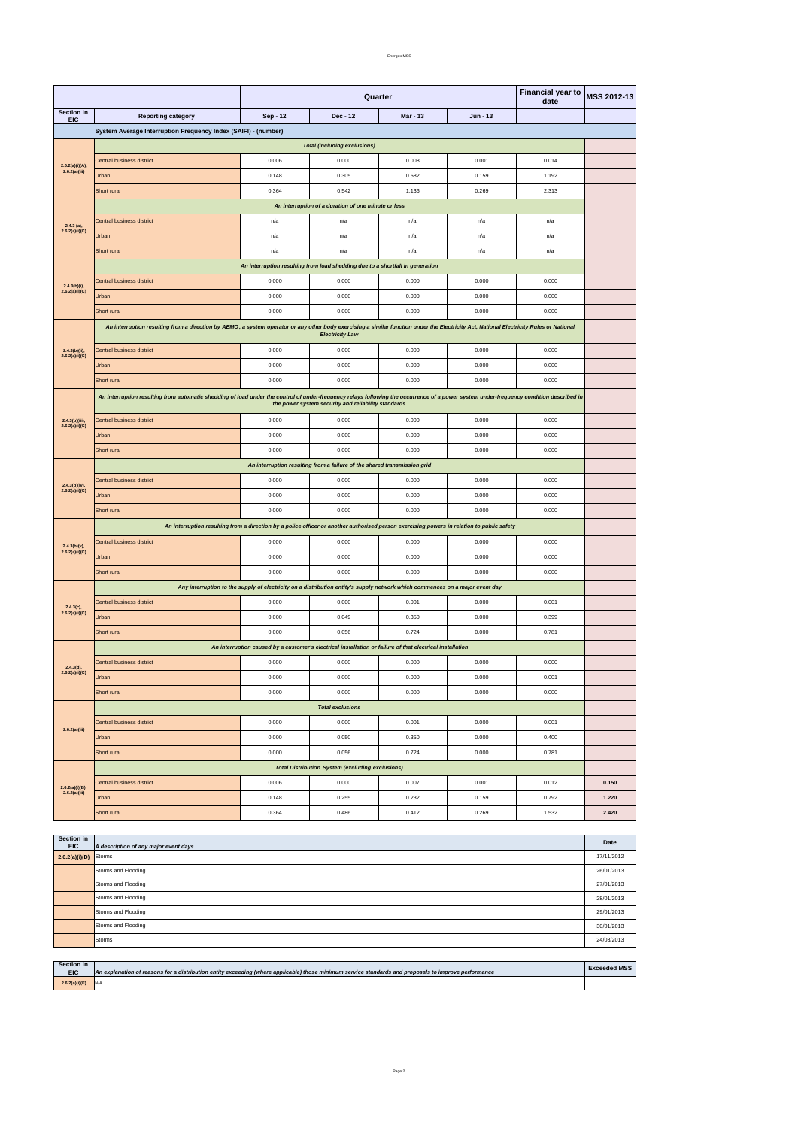#### Energex MSS

| <b>Section in</b> |                                              |      |
|-------------------|----------------------------------------------|------|
| <b>EIC</b>        | . .<br>A description of any major event days | Date |
|                   |                                              |      |

|                                   | Quarter<br>date                                                                                                                                                                         |                                                                               |                                                                          | <b>Financial year to</b>                                                                                                     | MSS 2012-13 |       |       |  |
|-----------------------------------|-----------------------------------------------------------------------------------------------------------------------------------------------------------------------------------------|-------------------------------------------------------------------------------|--------------------------------------------------------------------------|------------------------------------------------------------------------------------------------------------------------------|-------------|-------|-------|--|
| Section in<br><b>EIC</b>          | <b>Reporting category</b>                                                                                                                                                               | Sep - 12                                                                      | Dec - 12                                                                 | Mar - 13                                                                                                                     | Jun - 13    |       |       |  |
|                                   | System Average Interruption Frequency Index (SAIFI) - (number)                                                                                                                          |                                                                               |                                                                          |                                                                                                                              |             |       |       |  |
|                                   | <b>Total (including exclusions)</b>                                                                                                                                                     |                                                                               |                                                                          |                                                                                                                              |             |       |       |  |
| 2.6.2(a)(i)(A),                   | Central business district                                                                                                                                                               | 0.006                                                                         | 0.000                                                                    | 0.008                                                                                                                        | 0.001       | 0.014 |       |  |
| 2.6.2(a)(iii)                     | <b>Urban</b>                                                                                                                                                                            | 0.148                                                                         | 0.305                                                                    | 0.582                                                                                                                        | 0.159       | 1.192 |       |  |
|                                   | Short rural                                                                                                                                                                             | 0.364                                                                         | 0.542                                                                    | 1.136                                                                                                                        | 0.269       | 2.313 |       |  |
|                                   | An interruption of a duration of one minute or less                                                                                                                                     |                                                                               |                                                                          |                                                                                                                              |             |       |       |  |
| $2.4.3$ (a),                      | Central business district                                                                                                                                                               | n/a                                                                           | n/a                                                                      | n/a                                                                                                                          | n/a         | n/a   |       |  |
| 2.6.2(a)(i)(C)                    | Urban                                                                                                                                                                                   | n/a                                                                           | n/a                                                                      | n/a                                                                                                                          | n/a         | n/a   |       |  |
|                                   | Short rural                                                                                                                                                                             | n/a                                                                           | n/a                                                                      | n/a                                                                                                                          | n/a         | n/a   |       |  |
|                                   |                                                                                                                                                                                         | An interruption resulting from load shedding due to a shortfall in generation |                                                                          |                                                                                                                              |             |       |       |  |
| $2.4.3(b)(i)$ ,                   | Central business district                                                                                                                                                               | 0.000                                                                         | 0.000                                                                    | 0.000                                                                                                                        | 0.000       | 0.000 |       |  |
| 2.6.2(a)(i)(C)                    | Urban                                                                                                                                                                                   | 0.000                                                                         | 0.000                                                                    | 0.000                                                                                                                        | 0.000       | 0.000 |       |  |
|                                   | Short rural                                                                                                                                                                             | 0.000                                                                         | 0.000                                                                    | 0.000                                                                                                                        | 0.000       | 0.000 |       |  |
|                                   | An interruption resulting from a direction by AEMO, a system operator or any other body exercising a similar function under the Electricity Act, National Electricity Rules or National |                                                                               | <b>Electricity Law</b>                                                   |                                                                                                                              |             |       |       |  |
| $2.4.3(b)(ii)$ ,                  | Central business district                                                                                                                                                               | 0.000                                                                         | 0.000                                                                    | 0.000                                                                                                                        | 0.000       | 0.000 |       |  |
| 2.6.2(a)(i)(C)                    | Urban                                                                                                                                                                                   | 0.000                                                                         | 0.000                                                                    | 0.000                                                                                                                        | 0.000       | 0.000 |       |  |
|                                   | Short rural                                                                                                                                                                             | 0.000                                                                         | 0.000                                                                    | 0.000                                                                                                                        | 0.000       | 0.000 |       |  |
|                                   | An interruption resulting from automatic shedding of load under the control of under-frequency relays following the occurrence of a power system under-frequency condition described in |                                                                               |                                                                          |                                                                                                                              |             |       |       |  |
|                                   |                                                                                                                                                                                         |                                                                               | the power system security and reliability standards                      |                                                                                                                              |             |       |       |  |
| 2.4.3(b)(iii),<br>2.6.2(a)(i)(C)  | Central business district                                                                                                                                                               | 0.000                                                                         | 0.000                                                                    | 0.000                                                                                                                        | 0.000       | 0.000 |       |  |
|                                   | Urban                                                                                                                                                                                   | 0.000                                                                         | 0.000                                                                    | 0.000                                                                                                                        | 0.000       | 0.000 |       |  |
|                                   | Short rural                                                                                                                                                                             | 0.000                                                                         | 0.000                                                                    | 0.000                                                                                                                        | 0.000       | 0.000 |       |  |
|                                   |                                                                                                                                                                                         |                                                                               | An interruption resulting from a failure of the shared transmission grid |                                                                                                                              |             |       |       |  |
| 2.4.3(b)(iv),                     | Central business district                                                                                                                                                               | 0.000                                                                         | 0.000                                                                    | 0.000                                                                                                                        | 0.000       | 0.000 |       |  |
| 2.6.2(a)(i)(C)                    | <b>Urban</b>                                                                                                                                                                            | 0.000                                                                         | 0.000                                                                    | 0.000                                                                                                                        | 0.000       | 0.000 |       |  |
|                                   | Short rural                                                                                                                                                                             | 0.000                                                                         | 0.000                                                                    | 0.000                                                                                                                        | 0.000       | 0.000 |       |  |
|                                   | An interruption resulting from a direction by a police officer or another authorised person exercising powers in relation to public safety                                              |                                                                               |                                                                          |                                                                                                                              |             |       |       |  |
|                                   | Central business district                                                                                                                                                               | 0.000                                                                         | 0.000                                                                    | 0.000                                                                                                                        | 0.000       | 0.000 |       |  |
| $2.4.3(b)(v)$ ,<br>2.6.2(a)(i)(C) | Urban                                                                                                                                                                                   | 0.000                                                                         | 0.000                                                                    | 0.000                                                                                                                        | 0.000       | 0.000 |       |  |
|                                   | Short rural                                                                                                                                                                             | 0.000                                                                         | 0.000                                                                    | 0.000                                                                                                                        | 0.000       | 0.000 |       |  |
|                                   |                                                                                                                                                                                         |                                                                               |                                                                          | Any interruption to the supply of electricity on a distribution entity's supply network which commences on a major event day |             |       |       |  |
|                                   | Central business district                                                                                                                                                               | 0.000                                                                         | 0.000                                                                    | 0.001                                                                                                                        | 0.000       | 0.001 |       |  |
| $2.4.3(c)$ ,<br>2.6.2(a)(i)(C)    | Urban                                                                                                                                                                                   | 0.000                                                                         | 0.049                                                                    | 0.350                                                                                                                        | 0.000       | 0.399 |       |  |
|                                   | Short rural                                                                                                                                                                             | 0.000                                                                         | 0.056                                                                    | 0.724                                                                                                                        | 0.000       | 0.781 |       |  |
|                                   |                                                                                                                                                                                         |                                                                               |                                                                          | An interruption caused by a customer's electrical installation or failure of that electrical installation                    |             |       |       |  |
|                                   | Central business district                                                                                                                                                               | 0.000                                                                         | 0.000                                                                    | 0.000                                                                                                                        | 0.000       | 0.000 |       |  |
| 2.4.3(d),<br>2.6.2(a)(i)(C)       | Urban                                                                                                                                                                                   | 0.000                                                                         | 0.000                                                                    | 0.000                                                                                                                        | 0.000       | 0.001 |       |  |
|                                   | Short rural                                                                                                                                                                             | 0.000                                                                         | 0.000                                                                    | 0.000                                                                                                                        | 0.000       | 0.000 |       |  |
|                                   |                                                                                                                                                                                         |                                                                               | <b>Total exclusions</b>                                                  |                                                                                                                              |             |       |       |  |
|                                   | Central business district                                                                                                                                                               | 0.000                                                                         | 0.000                                                                    | 0.001                                                                                                                        | 0.000       | 0.001 |       |  |
| 2.6.2(a)(iii)                     | Urban                                                                                                                                                                                   | 0.000                                                                         | 0.050                                                                    | 0.350                                                                                                                        | 0.000       | 0.400 |       |  |
|                                   | Short rural                                                                                                                                                                             | 0.000                                                                         |                                                                          | 0.724                                                                                                                        | 0.000       | 0.781 |       |  |
|                                   |                                                                                                                                                                                         |                                                                               | 0.056                                                                    |                                                                                                                              |             |       |       |  |
|                                   |                                                                                                                                                                                         |                                                                               | <b>Total Distribution System (excluding exclusions)</b>                  |                                                                                                                              |             |       |       |  |
| 2.6.2(a)(i)(B),<br>2.6.2(a)(iii)  | Central business district                                                                                                                                                               | 0.006                                                                         | 0.000                                                                    | 0.007                                                                                                                        | 0.001       | 0.012 | 0.150 |  |
|                                   | Urban                                                                                                                                                                                   | 0.148                                                                         | 0.255                                                                    | 0.232                                                                                                                        | 0.159       | 0.792 | 1.220 |  |
|                                   | Short rural                                                                                                                                                                             | 0.364                                                                         | 0.486                                                                    | 0.412                                                                                                                        | 0.269       | 1.532 | 2.420 |  |

| Section in<br><b>EIC</b> | An explanation of reasons for a distribution entity exceeding (where applicable) those minimum service standards and proposals to improve performance | <b>Exceeded MSS</b> |
|--------------------------|-------------------------------------------------------------------------------------------------------------------------------------------------------|---------------------|
| 2.6.2(a)(i)(E)           | N/A                                                                                                                                                   |                     |

| $2.6.2(a)(i)(D)$ Storms |                     | 17/11/2012 |
|-------------------------|---------------------|------------|
|                         | Storms and Flooding | 26/01/2013 |
|                         | Storms and Flooding | 27/01/2013 |
|                         | Storms and Flooding | 28/01/2013 |
|                         | Storms and Flooding | 29/01/2013 |
|                         | Storms and Flooding | 30/01/2013 |
|                         | Storms              | 24/03/2013 |

Page 2